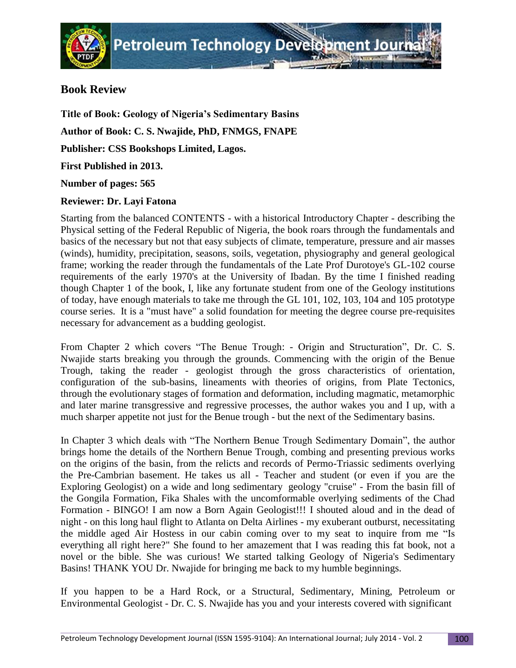## **Book Review**

**Title of Book: Geology of Nigeria's Sedimentary Basins Author of Book: C. S. Nwajide, PhD, FNMGS, FNAPE Publisher: CSS Bookshops Limited, Lagos. First Published in 2013. Number of pages: 565 Reviewer: Dr. Layi Fatona**

## Starting from the balanced CONTENTS - with a historical Introductory Chapter - describing the Physical setting of the Federal Republic of Nigeria, the book roars through the fundamentals and basics of the necessary but not that easy subjects of climate, temperature, pressure and air masses (winds), humidity, precipitation, seasons, soils, vegetation, physiography and general geological frame; working the reader through the fundamentals of the Late Prof Durotoye's GL-102 course requirements of the early 1970's at the University of Ibadan. By the time I finished reading though Chapter 1 of the book, I, like any fortunate student from one of the Geology institutions of today, have enough materials to take me through the GL 101, 102, 103, 104 and 105 prototype course series. It is a "must have" a solid foundation for meeting the degree course pre-requisites necessary for advancement as a budding geologist.

From Chapter 2 which covers "The Benue Trough: - Origin and Structuration", Dr. C. S. Nwajide starts breaking you through the grounds. Commencing with the origin of the Benue Trough, taking the reader - geologist through the gross characteristics of orientation, configuration of the sub-basins, lineaments with theories of origins, from Plate Tectonics, through the evolutionary stages of formation and deformation, including magmatic, metamorphic and later marine transgressive and regressive processes, the author wakes you and I up, with a much sharper appetite not just for the Benue trough - but the next of the Sedimentary basins.

In Chapter 3 which deals with "The Northern Benue Trough Sedimentary Domain", the author brings home the details of the Northern Benue Trough, combing and presenting previous works on the origins of the basin, from the relicts and records of Permo-Triassic sediments overlying the Pre-Cambrian basement. He takes us all - Teacher and student (or even if you are the Exploring Geologist) on a wide and long sedimentary geology "cruise" - From the basin fill of the Gongila Formation, Fika Shales with the uncomformable overlying sediments of the Chad Formation - BINGO! I am now a Born Again Geologist!!! I shouted aloud and in the dead of night - on this long haul flight to Atlanta on Delta Airlines - my exuberant outburst, necessitating the middle aged Air Hostess in our cabin coming over to my seat to inquire from me "Is everything all right here?" She found to her amazement that I was reading this fat book, not a novel or the bible. She was curious! We started talking Geology of Nigeria's Sedimentary Basins! THANK YOU Dr. Nwajide for bringing me back to my humble beginnings.

If you happen to be a Hard Rock, or a Structural, Sedimentary, Mining, Petroleum or Environmental Geologist - Dr. C. S. Nwajide has you and your interests covered with significant